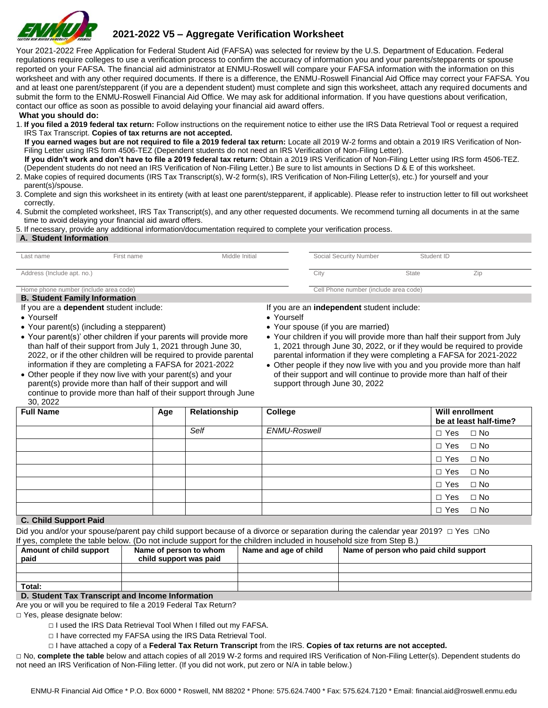

# **2021-2022 V5 – Aggregate Verification Worksheet**

Your 2021-2022 Free Application for Federal Student Aid (FAFSA) was selected for review by the U.S. Department of Education. Federal regulations require colleges to use a verification process to confirm the accuracy of information you and your parents/stepparents or spouse reported on your FAFSA. The financial aid administrator at ENMU-Roswell will compare your FAFSA information with the information on this worksheet and with any other required documents. If there is a difference, the ENMU-Roswell Financial Aid Office may correct your FAFSA. You and at least one parent/stepparent (if you are a dependent student) must complete and sign this worksheet, attach any required documents and submit the form to the ENMU-Roswell Financial Aid Office. We may ask for additional information. If you have questions about verification, contact our office as soon as possible to avoid delaying your financial aid award offers.

#### **What you should do:**

1. **If you filed a 2019 federal tax return:** Follow instructions on the requirement notice to either use the IRS Data Retrieval Tool or request a required IRS Tax Transcript. **Copies of tax returns are not accepted.** 

 **If you earned wages but are not required to file a 2019 federal tax return:** Locate all 2019 W-2 forms and obtain a 2019 IRS Verification of Non-Filing Letter using IRS form 4506-TEZ (Dependent students do not need an IRS Verification of Non-Filing Letter).

 **If you didn't work and don't have to file a 2019 federal tax return:** Obtain a 2019 IRS Verification of Non-Filing Letter using IRS form 4506-TEZ. (Dependent students do not need an IRS Verification of Non-Filing Letter.) Be sure to list amounts in Sections D & E of this worksheet.

- 2. Make copies of required documents (IRS Tax Transcript(s), W-2 form(s), IRS Verification of Non-Filing Letter(s), etc.) for yourself and your parent(s)/spouse.
- 3. Complete and sign this worksheet in its entirety (with at least one parent/stepparent, if applicable). Please refer to instruction letter to fill out worksheet correctly.
- 4. Submit the completed worksheet, IRS Tax Transcript(s), and any other requested documents. We recommend turning all documents in at the same time to avoid delaying your financial aid award offers.

5. If necessary, provide any additional information/documentation required to complete your verification process.

#### **A. Student Information**

| Last name                                 | First name                              | Middle Initial                        | Social Security Number                     | Student ID   |     |  |
|-------------------------------------------|-----------------------------------------|---------------------------------------|--------------------------------------------|--------------|-----|--|
|                                           |                                         |                                       |                                            |              |     |  |
| Address (Include apt. no.)                |                                         |                                       | City                                       | <b>State</b> | Zip |  |
|                                           |                                         |                                       |                                            |              |     |  |
| Home phone number (include area code)     |                                         | Cell Phone number (include area code) |                                            |              |     |  |
| <b>B. Student Family Information</b>      |                                         |                                       |                                            |              |     |  |
|                                           | If you are a dependent student include: |                                       | If you are an independent student include: |              |     |  |
| • Yourself<br>• Yourself                  |                                         |                                       |                                            |              |     |  |
| • Your parent(s) (including a stepparent) |                                         | • Your spouse (if you are married)    |                                            |              |     |  |

• Your parent(s)' other children if your parents will provide more than half of their support from July 1, 2021 through June 30, 2022, or if the other children will be required to provide parental information if they are completing a FAFSA for 2021-2022 • Other people if they now live with your parent(s) and your

parent(s) provide more than half of their support and will continue to provide more than half of their support through June

- Your children if you will provide more than half their support from July 1, 2021 through June 30, 2022, or if they would be required to provide parental information if they were completing a FAFSA for 2021-2022
- Other people if they now live with you and you provide more than half of their support and will continue to provide more than half of their support through June 30, 2022

| <b>Full Name</b>      | Age | Relationship | College      | <b>Will enrollment</b><br>be at least half-time? |
|-----------------------|-----|--------------|--------------|--------------------------------------------------|
|                       |     | Self         | ENMU-Roswell | $\Box$ Yes $\Box$ No                             |
|                       |     |              |              | $\Box$ Yes $\Box$ No                             |
|                       |     |              |              | $\Box$ Yes $\Box$ No                             |
|                       |     |              |              | $\Box$ Yes $\Box$ No                             |
|                       |     |              |              | $\Box$ Yes $\Box$ No                             |
|                       |     |              |              | $\Box$ Yes $\Box$ No                             |
| C. Child Cunnant Daid |     |              |              | $\Box$ Yes $\Box$ No                             |

# **C. Child Support Paid**

30, 2022

| Did you and/or your spouse/parent pay child support because of a divorce or separation during the calendar year 2019? $\Box$ Yes $\Box$ No |  |
|--------------------------------------------------------------------------------------------------------------------------------------------|--|
| If yes, complete the table below. (Do not include support for the children included in household size from Step B.)                        |  |

| Amount of child support<br>paid                           | Name of person to whom<br>child support was paid | Name and age of child | Name of person who paid child support |  |
|-----------------------------------------------------------|--------------------------------------------------|-----------------------|---------------------------------------|--|
|                                                           |                                                  |                       |                                       |  |
|                                                           |                                                  |                       |                                       |  |
| Total:                                                    |                                                  |                       |                                       |  |
| D. Chicago Tax, Texas and integral in a speak information |                                                  |                       |                                       |  |

**D. Student Tax Transcript and Income Information** Are you or will you be required to file a 2019 Federal Tax Return?

□ Yes, please designate below:

- □ I used the IRS Data Retrieval Tool When I filled out my FAFSA.
- □ I have corrected my FAFSA using the IRS Data Retrieval Tool.
- □ I have attached a copy of a **Federal Tax Return Transcript** from the IRS. **Copies of tax returns are not accepted.**

□ No, **complete the table** below and attach copies of all 2019 W-2 forms and required IRS Verification of Non-Filing Letter(s). Dependent students do not need an IRS Verification of Non-Filing letter. (If you did not work, put zero or N/A in table below.)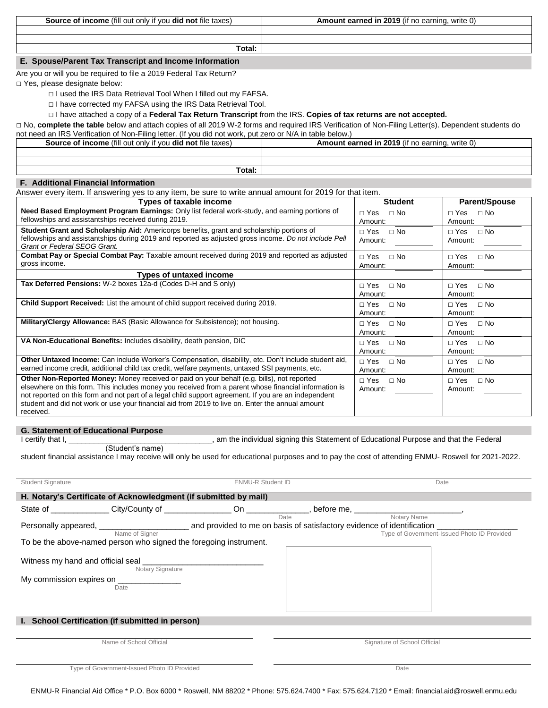**Source of income** (fill out only if you **did not** file taxes) **Amount earned in 2019** (if no earning, write 0)

**Total:** 

# **E. Spouse/Parent Tax Transcript and Income Information**

Are you or will you be required to file a 2019 Federal Tax Return?

□ Yes, please designate below:

- □ I used the IRS Data Retrieval Tool When I filled out my FAFSA.
- □ I have corrected my FAFSA using the IRS Data Retrieval Tool.

## □ I have attached a copy of a **Federal Tax Return Transcript** from the IRS. **Copies of tax returns are not accepted.**

□ No, complete the table below and attach copies of all 2019 W-2 forms and required IRS Verification of Non-Filing Letter(s). Dependent students do not need an IRS Verification of Non-Filing letter. (If you did not work, put zero or N/A in table below.)

| TIOL HEED OF HYA III LADIE DEIDW.)                                       |                                                       |  |  |  |
|--------------------------------------------------------------------------|-------------------------------------------------------|--|--|--|
| <b>Source of income</b> (fill out only if you <b>did not</b> file taxes) | <b>Amount earned in 2019</b> (if no earning, write 0) |  |  |  |
|                                                                          |                                                       |  |  |  |
|                                                                          |                                                       |  |  |  |
| Total:                                                                   |                                                       |  |  |  |

## **F. Additional Financial Information**

Answer every item. If answering yes to any item, be sure to write annual amount for 2019 for that item.

| Types of taxable income                                                                                                                                                                                                                                                                                                                                                                                                             | <b>Student</b>                       | <b>Parent/Spouse</b>                 |
|-------------------------------------------------------------------------------------------------------------------------------------------------------------------------------------------------------------------------------------------------------------------------------------------------------------------------------------------------------------------------------------------------------------------------------------|--------------------------------------|--------------------------------------|
| Need Based Employment Program Earnings: Only list federal work-study, and earning portions of<br>fellowships and assistantships received during 2019.                                                                                                                                                                                                                                                                               | $\Box$ No<br>$\Box$ Yes<br>Amount:   | $\sqcap$ Yes<br>$\Box$ No<br>Amount: |
| Student Grant and Scholarship Aid: Americorps benefits, grant and scholarship portions of<br>fellowships and assistantships during 2019 and reported as adjusted gross income. Do not include Pell<br>Grant or Federal SEOG Grant.                                                                                                                                                                                                  | $\Box$ Yes<br>$\Box$ No<br>Amount:   | $\sqcap$ Yes<br>$\Box$ No<br>Amount: |
| Combat Pay or Special Combat Pay: Taxable amount received during 2019 and reported as adjusted<br>gross income.                                                                                                                                                                                                                                                                                                                     | $\Box$ Yes<br>$\Box$ No<br>Amount:   | $\sqcap$ Yes<br>$\Box$ No<br>Amount: |
| <b>Types of untaxed income</b>                                                                                                                                                                                                                                                                                                                                                                                                      |                                      |                                      |
| Tax Deferred Pensions: W-2 boxes 12a-d (Codes D-H and S only)                                                                                                                                                                                                                                                                                                                                                                       | $\Box$ No<br>$\sqcap$ Yes<br>Amount: | $\Box$ No<br>$\sqcap$ Yes<br>Amount: |
| Child Support Received: List the amount of child support received during 2019.                                                                                                                                                                                                                                                                                                                                                      | $\Box$ Yes<br>$\Box$ No<br>Amount:   | $\sqcap$ Yes<br>$\Box$ No<br>Amount: |
| Military/Clergy Allowance: BAS (Basic Allowance for Subsistence); not housing.                                                                                                                                                                                                                                                                                                                                                      | $\square$ No<br>□ Yes<br>Amount:     | ⊟ No<br>$\sqcap$ Yes<br>Amount:      |
| VA Non-Educational Benefits: Includes disability, death pension, DIC                                                                                                                                                                                                                                                                                                                                                                | $\Box$ No<br>$\Box$ Yes<br>Amount:   | $\sqcap$ Yes<br>$\Box$ No<br>Amount: |
| Other Untaxed Income: Can include Worker's Compensation, disability, etc. Don't include student aid,<br>earned income credit, additional child tax credit, welfare payments, untaxed SSI payments, etc.                                                                                                                                                                                                                             | $\Box$ No<br>$\Box$ Yes<br>Amount:   | $\sqcap$ Yes<br>$\Box$ No<br>Amount: |
| <b>Other Non-Reported Money:</b> Money received or paid on your behalf (e.g. bills), not reported<br>elsewhere on this form. This includes money you received from a parent whose financial information is<br>not reported on this form and not part of a legal child support agreement. If you are an independent<br>student and did not work or use your financial aid from 2019 to live on. Enter the annual amount<br>received. | $\Box$ Yes<br>$\Box$ No<br>Amount:   | $\sqcap$ Yes<br>$\Box$ No<br>Amount: |

#### **G. Statement of Educational Purpose**

I certify that I, \_\_\_\_\_\_\_\_\_\_\_\_\_\_\_\_\_\_\_\_\_\_\_\_\_\_\_\_\_\_\_\_\_\_, am the individual signing this Statement of Educational Purpose and that the Federal

(Student's name)

student financial assistance I may receive will only be used for educational purposes and to pay the cost of attending ENMU- Roswell for 2021-2022.

| Student Signature                                     |                                                                                                                |      | <b>ENMU-R Student ID</b> |                                                            |
|-------------------------------------------------------|----------------------------------------------------------------------------------------------------------------|------|--------------------------|------------------------------------------------------------|
|                                                       | H. Notary's Certificate of Acknowledgment (if submitted by mail)                                               |      |                          |                                                            |
|                                                       | State of _______________City/County of ________________On ______________, before me, ________________________, |      |                          |                                                            |
|                                                       | Name of Signer                                                                                                 | Date |                          | Notary Name<br>Type of Government-Issued Photo ID Provided |
|                                                       | To be the above-named person who signed the foregoing instrument.                                              |      |                          |                                                            |
| Witness my hand and official seal<br>Notary Signature |                                                                                                                |      |                          |                                                            |
|                                                       | My commission expires on _______________<br>Date                                                               |      |                          |                                                            |
|                                                       | I. School Certification (if submitted in person)                                                               |      |                          |                                                            |
|                                                       | Name of School Official                                                                                        |      |                          | Signature of School Official                               |

Type of Government-Issued Photo ID Provided Date